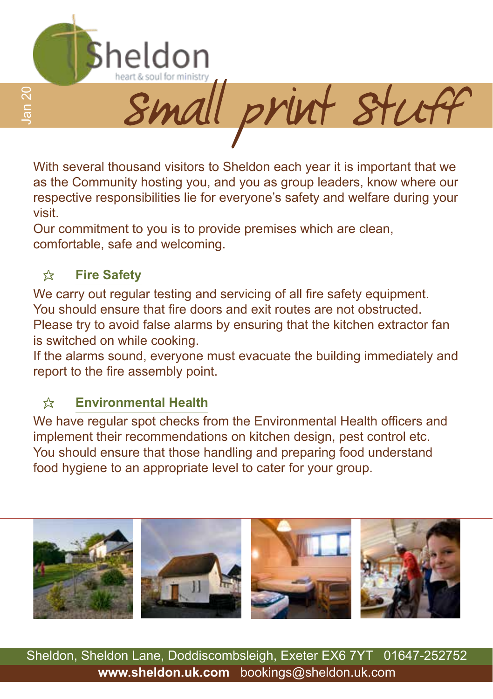

With several thousand visitors to Sheldon each year it is important that we as the Community hosting you, and you as group leaders, know where our respective responsibilities lie for everyone's safety and welfare during your visit.

Our commitment to you is to provide premises which are clean, comfortable, safe and welcoming.

#### **☆ Fire Safety**

We carry out regular testing and servicing of all fire safety equipment. You should ensure that fire doors and exit routes are not obstructed. Please try to avoid false alarms by ensuring that the kitchen extractor fan is switched on while cooking.

If the alarms sound, everyone must evacuate the building immediately and report to the fire assembly point.

#### \* **Environmental Health**

We have regular spot checks from the Environmental Health officers and implement their recommendations on kitchen design, pest control etc. You should ensure that those handling and preparing food understand food hygiene to an appropriate level to cater for your group.



Sheldon, Sheldon Lane, Doddiscombsleigh, Exeter EX6 7YT 01647-252752 **www.sheldon.uk.com** bookings@sheldon.uk.com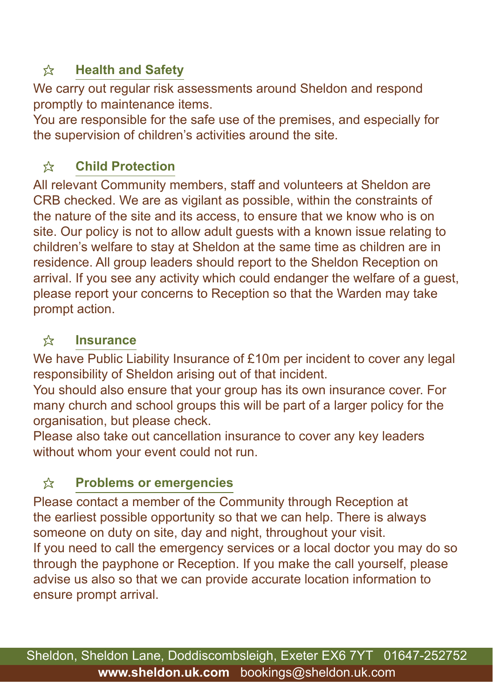## \* **Health and Safety**

We carry out regular risk assessments around Sheldon and respond promptly to maintenance items.

You are responsible for the safe use of the premises, and especially for the supervision of children's activities around the site.

## \* **Child Protection**

All relevant Community members, staff and volunteers at Sheldon are CRB checked. We are as vigilant as possible, within the constraints of the nature of the site and its access, to ensure that we know who is on site. Our policy is not to allow adult guests with a known issue relating to children's welfare to stay at Sheldon at the same time as children are in residence. All group leaders should report to the Sheldon Reception on arrival. If you see any activity which could endanger the welfare of a guest, please report your concerns to Reception so that the Warden may take prompt action.

#### \* **Insurance**

We have Public Liability Insurance of £10m per incident to cover any legal responsibility of Sheldon arising out of that incident.

You should also ensure that your group has its own insurance cover. For many church and school groups this will be part of a larger policy for the organisation, but please check.

Please also take out cancellation insurance to cover any key leaders without whom your event could not run.

## \* **Problems or emergencies**

Please contact a member of the Community through Reception at the earliest possible opportunity so that we can help. There is always someone on duty on site, day and night, throughout your visit. If you need to call the emergency services or a local doctor you may do so through the payphone or Reception. If you make the call yourself, please advise us also so that we can provide accurate location information to ensure prompt arrival.

Sheldon, Sheldon Lane, Doddiscombsleigh, Exeter EX6 7YT 01647-252752 **www.sheldon.uk.com** bookings@sheldon.uk.com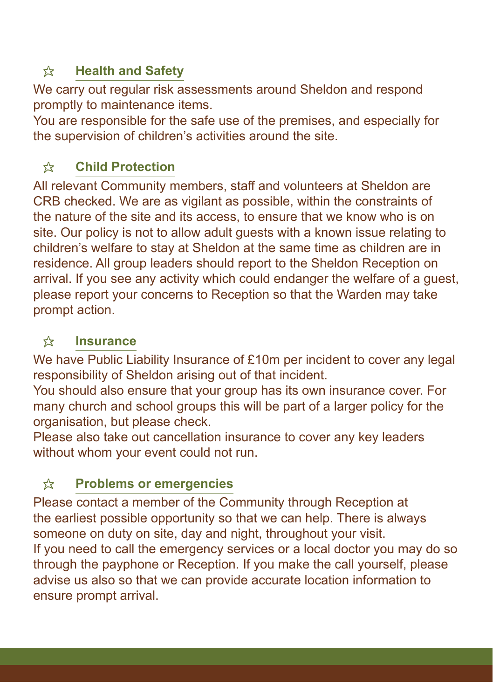## \* **Health and Safety**

We carry out regular risk assessments around Sheldon and respond promptly to maintenance items.

You are responsible for the safe use of the premises, and especially for the supervision of children's activities around the site.

# \* **Child Protection**

All relevant Community members, staff and volunteers at Sheldon are CRB checked. We are as vigilant as possible, within the constraints of the nature of the site and its access, to ensure that we know who is on site. Our policy is not to allow adult guests with a known issue relating to children's welfare to stay at Sheldon at the same time as children are in residence. All group leaders should report to the Sheldon Reception on arrival. If you see any activity which could endanger the welfare of a quest. please report your concerns to Reception so that the Warden may take prompt action.

## **<del>☆</del> Insurance**

We have Public Liability Insurance of £10m per incident to cover any legal responsibility of Sheldon arising out of that incident.

You should also ensure that your group has its own insurance cover. For many church and school groups this will be part of a larger policy for the organisation, but please check.

Please also take out cancellation insurance to cover any key leaders without whom your event could not run.

# \* **Problems or emergencies**

Please contact a member of the Community through Reception at the earliest possible opportunity so that we can help. There is always someone on duty on site, day and night, throughout your visit. If you need to call the emergency services or a local doctor you may do so through the payphone or Reception. If you make the call yourself, please advise us also so that we can provide accurate location information to ensure prompt arrival.